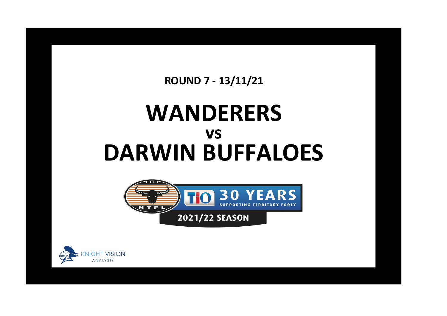**ROUND 7 - 13/11/21**

## **WANDERERS DARWIN BUFFALOES vs**



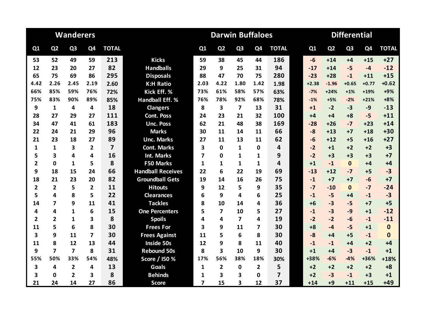|                |                | <b>Wanderers</b>        |                |                         |                          | <b>Darwin Buffaloes</b><br><b>Differential</b> |                         |                |                |                         |  |         |                |                |                |              |
|----------------|----------------|-------------------------|----------------|-------------------------|--------------------------|------------------------------------------------|-------------------------|----------------|----------------|-------------------------|--|---------|----------------|----------------|----------------|--------------|
| Q1             | Q <sub>2</sub> | Q <sub>3</sub>          | Q4             | <b>TOTAL</b>            |                          | Q1                                             | Q <sub>2</sub>          | Q <sub>3</sub> | Q <sub>4</sub> | <b>TOTAL</b>            |  | Q1      | Q <sub>2</sub> | Q <sub>3</sub> | Q <sub>4</sub> | <b>TOTAL</b> |
| 53             | 52             | 49                      | 59             | 213                     | <b>Kicks</b>             | 59                                             | 38                      | 45             | 44             | 186                     |  | $-6$    | $+14$          | $+4$           | $+15$          | $+27$        |
| 12             | 23             | 20                      | 27             | 82                      | <b>Handballs</b>         | 29                                             | 9                       | 25             | 31             | 94                      |  | $-17$   | $+14$          | $-5$           | $-4$           | $-12$        |
| 65             | 75             | 69                      | 86             | 295                     | <b>Disposals</b>         | 88                                             | 47                      | 70             | 75             | 280                     |  | $-23$   | $+28$          | $-1$           | $+11$          | $+15$        |
| 4.42           | 2.26           | 2.45                    | 2.19           | 2.60                    | <b>K:H Ratio</b>         | 2.03                                           | 4.22                    | 1.80           | 1.42           | 1.98                    |  | $+2.38$ | $-1.96$        | $+0.65$        | $+0.77$        | $+0.62$      |
| 66%            | 85%            | 59%                     | 76%            | 72%                     | Kick Eff. %              | 73%                                            | 61%                     | 58%            | 57%            | 63%                     |  | $-7%$   | $+24%$         | $+1%$          | $+19%$         | +9%          |
| 75%            | 83%            | 90%                     | 89%            | 85%                     | <b>Handball Eff. %</b>   | 76%                                            | 78%                     | 92%            | 68%            | 78%                     |  | $-1%$   | $+5%$          | $-2%$          | $+21%$         | $+8%$        |
| 9              | 1              | 4                       | 4              | 18                      | <b>Clangers</b>          | 8                                              | 3                       | 7              | 13             | 31                      |  | $+1$    | $-2$           | $-3$           | $-9$           | $-13$        |
| 28             | 27             | 29                      | 27             | 111                     | <b>Cont. Poss</b>        | 24                                             | 23                      | 21             | 32             | 100                     |  | $+4$    | $+4$           | $+8$           | $-5$           | $+11$        |
| 34             | 47             | 41                      | 61             | 183                     | <b>Unc. Poss</b>         | 62                                             | 21                      | 48             | 38             | 169                     |  | $-28$   | $+26$          | $-7$           | $+23$          | $+14$        |
| 22             | 24             | 21                      | 29             | 96                      | <b>Marks</b>             | 30                                             | 11                      | 14             | 11             | 66                      |  | $-8$    | $+13$          | $+7$           | $+18$          | $+30$        |
| 21             | 23             | 18                      | 27             | 89                      | <b>Unc. Marks</b>        | 27                                             | 11                      | 13             | 11             | 62                      |  | $-6$    | $+12$          | $+5$           | $+16$          | $+27$        |
| 1              | $\mathbf{1}$   | 3                       | $\overline{2}$ | $\overline{\mathbf{z}}$ | <b>Cont. Marks</b>       | 3                                              | $\bf{0}$                | 1              | 0              | 4                       |  | $-2$    | $+1$           | $+2$           | $+2$           | $+3$         |
| 5              | 3              | 4                       | 4              | 16                      | <b>Int. Marks</b>        | 7                                              | 0                       | 1              | $\mathbf{1}$   | 9                       |  | $-2$    | $+3$           | $+3$           | $+3$           | $+7$         |
| $\mathbf{2}$   | $\mathbf 0$    | 1                       | 5              | 8                       | <b>F50 Marks</b>         | 1                                              | 1                       | 1              | 1              | 4                       |  | $+1$    | $-1$           | $\Omega$       | $+4$           | $+4$         |
| 9              | 18             | 15                      | 24             | 66                      | <b>Handball Receives</b> | 22                                             | 6                       | 22             | 19             | 69                      |  | $-13$   | $+12$          | $-7$           | $+5$           | $-3$         |
| 18             | 21             | 23                      | 20             | 82                      | <b>Groundball Gets</b>   | 19                                             | 14                      | 16             | 26             | 75                      |  | $-1$    | $+7$           | $+7$           | $-6$           | $+7$         |
| $\overline{2}$ | $\overline{2}$ | 5                       | $\overline{2}$ | 11                      | <b>Hitouts</b>           | 9                                              | 12                      | 5              | 9              | 35                      |  | $-7$    | $-10$          | $\mathbf{0}$   | $-7$           | $-24$        |
| 5              | 4              | 8                       | 5              | 22                      | <b>Clearances</b>        | 6                                              | 9                       | 4              | 6              | 25                      |  | $-1$    | $-5$           | +4             | $-1$           | $-3$         |
| 14             | 7              | 9                       | 11             | 41                      | <b>Tackles</b>           | 8                                              | 10                      | 14             | 4              | 36                      |  | $+6$    | $-3$           | $-5$           | $+7$           | $+5$         |
| 4              | 4              | $\mathbf{1}$            | 6              | 15                      | <b>One Percenters</b>    | 5                                              | $\overline{\mathbf{z}}$ | 10             | 5              | 27                      |  | $-1$    | $-3$           | $-9$           | $+1$           | $-12$        |
| $\overline{2}$ | $\overline{2}$ | $\mathbf{1}$            | 3              | 8                       | <b>Spoils</b>            | 4                                              | 4                       | 7              | 4              | 19                      |  | $-2$    | $-2$           | $-6$           | $-1$           | $-11$        |
| 11             | 5              | 6                       | 8              | 30                      | <b>Frees For</b>         | 3                                              | 9                       | 11             | 7              | 30                      |  | $+8$    | -4             | $-5$           | $+1$           | $\mathbf 0$  |
| 3              | 9              | 11                      | 7              | 30                      | <b>Frees Against</b>     | 11                                             | 5                       | 6              | 8              | 30                      |  | $-8$    | $+4$           | $+5$           | $-1$           | $\bf{0}$     |
| 11             | 8              | 12                      | 13             | 44                      | <b>Inside 50s</b>        | 12                                             | 9                       | 8              | 11             | 40                      |  | $-1$    | $-1$           | $+4$           | $+2$           | $+4$         |
| 9              | 7              | $\overline{\mathbf{z}}$ | 8              | 31                      | <b>Rebound 50s</b>       | 8                                              | 3                       | 10             | 9              | 30                      |  | $+1$    | $+4$           | $-3$           | $-1$           | $+1$         |
| 55%            | 50%            | 33%                     | 54%            | 48%                     | Score / I50 %            | 17%                                            | 56%                     | 38%            | 18%            | 30%                     |  | +38%    | $-6%$          | $-4%$          | +36%           | $+18%$       |
| 3              | 4              | $\overline{2}$          | 4              | 13                      | <b>Goals</b>             | 1                                              | $\overline{2}$          | $\mathbf{0}$   | $\overline{2}$ | 5                       |  | $+2$    | $+2$           | $+2$           | $+2$           | $+8$         |
| 3              | 0              | $\overline{2}$          | 3              | 8                       | <b>Behinds</b>           | 1                                              | 3                       | 3              | $\mathbf{0}$   | $\overline{\mathbf{z}}$ |  | $+2$    | $-3$           | $-1$           | $+3$           | $+1$         |
| 21             | 24             | 14                      | 27             | 86                      | <b>Score</b>             | 7                                              | 15                      | 3              | 12             | 37                      |  | $+14$   | $+9$           | $+11$          | $+15$          | $+49$        |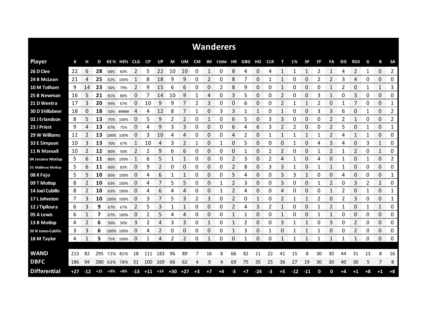|                     |       |                |       |           |           |            |           |                |       |       |           |              | <b>Wanderers</b> |    |      |                  |            |      |       |           |              |                |            |            |              |             |             |
|---------------------|-------|----------------|-------|-----------|-----------|------------|-----------|----------------|-------|-------|-----------|--------------|------------------|----|------|------------------|------------|------|-------|-----------|--------------|----------------|------------|------------|--------------|-------------|-------------|
| <b>Player</b>       | К     | н              | D     |           | KE% HE%   | <b>CLG</b> | <b>CP</b> | <b>UP</b>      | М     | UM    | <b>CM</b> | IM           | <b>F50M</b>      | ΗR | GBG  | но               | <b>CLR</b> | т    | 1%    | <b>SP</b> | FF           | FA             | <b>150</b> | <b>R50</b> | G            | B           | <b>SA</b>   |
| 26 D Clee           | 22    | 6              | 28    | 68%       | 83%       | 2          | 5         | 22             | 10    | 10    | 0         | $\mathbf{1}$ | 0                | 8  | 4    | 0                | 4          | 1    | 1     | 1         | 2            | 1              | 4          | 2          | $\mathbf{1}$ | 0           | 2           |
| 24 B McLean         | 21    | 4              | 25    | 62%       | 100%      | 1          | 8         | 18             | 9     | 9     | 0         | 2            | 0                | 8  | 7    | 0                | 1          |      | 0     | 0         | 2            | 2              | 3          | 4          | 0            | 0           | 0           |
| 10 M Totham         | 9     | 14             | 23    | 56%       | 79%       | 2          | 9         | 15             | 6     | 6     | 0         | 0            | 2                | 8  | 9    | 0                | 0          | 1    | 0     | 0         | 0            | $\mathbf{1}$   | 2          | 0          | 1            | 1           | 3           |
| 25 B Newman         | 16    | 5              | 21    | 81%       | 80%       | 0          | 7         | 14             | 10    | 9     | 1         | 4            | 0                | 3  | 5    | 0                | 0          | 2    | 0     | 0         | 3            | $\mathbf{1}$   | 0          | 3          | 0            | 0           | 0           |
| 21 D Weetra         | 17    | 3              | 20    | 94%       | 67%       | 0          | 10        | 9              | 9     | 7     | 2         | 3            | 0                | 0  | 6    | 0                | 0          | 2    | 1     | 1         | 2            | 0              | 1          | 7          | 0            | 0           | 1           |
| 30 D Shillabeer     | 18    | 0              | 18    |           | 50% ##### | 4          | 4         | 12             | 8     |       | 1         | 0            | 3                | 3  | 1    | 1                | 0          | 1    | 0     | 0         | 3            | 3              | 6          | 0          | 1            | 0           | 2           |
| 02 J Erlandson      | 8     | 5              | 13    |           | 75% 100%  | 0          | 5         | 9              | 2     | 2     | 0         | 1            | 0                | 6  | 5    | 0                | 3          | 3    | 0     | 0         | 0            | 2              |            | 1          | 0            | 0           | 2           |
| 23 J Priest         | 9     | 4              | 13    | 67%       | 75%       | $\Omega$   | 4         | 9              | 3     | 3     | 0         | 0            | 0                | 6  | 4    | 6                | 3          | 2    | 2     | 0         | 0            | $\overline{2}$ | 5          | 0          | 1            | 0           | 1           |
| 29 W Williams       | 11    | 2              | 13    |           | 100% 100% | 0          | 3         | 10             | 4     | 4     | 0         | 0            | 0                | 4  | 2    | 0                | 1          | 1    | 1     | 1         | 1            | 2              | 4          | 1          | 1            | 0           | 0           |
| 33 E Simpson        | -10   | 3              | 13    | 70%       | 67%       | 1          | 10        | 4              | 3     | 2     | 1         | 0            | 1                | 0  | 5    | 0                | 0          | 0    | 1     | 0         | 4            | 3              | 4          | 0          | 3            | 1           | 0           |
| 11 N Mansell        | 10    | $\overline{2}$ | 12    | 80%       | 50%       | 2          | 2         | 9              | 6     | 6     | 0         | 0            | 0                | 0  | 1    | 0                | 2          | 2    | 0     | 0         | 1            | 2              |            | 2          | 0            | 1           | 0           |
| 04 Jerome Motlop    | 5     | 6              | 11    | 80%       | 100%      | 1          | 6         | 5              | 1     | 1     | 0         | 0            | 0                | 2  | 3    | 0                | 2          | 4    |       | 0         | 4            | 0              |            | 0          | 1            | 0           | 2           |
| 35 Matthew Motlop   | 5     | 6              | 11    | 60%       | 83%       | 0          | 9         | $\mathfrak{p}$ | 0     | 0     | 0         | 0            | 0                | 2  | 8    | 0                | 3          | 3    |       | 0         | 1            | 1              |            | 0          | 0            | 0           | 0           |
| 08 K Fejo           | 5     | 5              | 10    | 60%       | 100%      | $\Omega$   | 4         | 6              | 1     | 1     | 0         | 0            | 0                | 5  | 4    | 0                | 0          | 3    | 3     | 1         | 0            | 0              | 4          | 0          | 0            | 0           | 1           |
| 09 T Motlop         | 8     | 2              | 10    | 63%       | 100%      | O          | 4         |                | 5     | 5     | 0         | 0            | 1                | 2  | 3    | 0                | 0          | 3    | 0     | 0         | 1            | 2              | 0          | 3          | 2            | 2           | 0           |
| 14 Joel Cubillo     | 8     | $\overline{2}$ | 10    |           | 63% 100%  | 0          | 4         | 6              | 4     | 4     | 0         | 0            | 1                | 2  | 4    | 0                | 0          | 4    | 0     | 0         | 0            | $\mathbf{1}$   | 2          | 0          | 1            | 0           | 1           |
| 17 L Johnston       | 7     | 3              | 10    | 100% 100% |           | 0          | 3         |                | 5     | 3     | 2         | 3            | 0                | 2  | 0    | 1                | 0          | 2    | 1     | 1         | 2            | 0              | 2          | 3          | 0            | 0           | 1           |
| 12 J Tipiloura      | 6     | 3              | 9     | 67%       | 67%       | 2          | 5         |                | 1     |       | 0         | 0            | 0                | 2  | 4    | 3                | 2          |      | 0     | 0         |              | 2              |            | 0          | 1            | 1           | 0           |
| 05 A Lewis          | 6     | 1              | 7     | 67%       | 100%      | 0          | 2         | 5              | 4     | 4     | 0         | 0            | 0                | 1  | 1    | 0                | 0          | 1    | 0     | 0         | $\mathbf{1}$ | 1              | 0          | 0          | 0            | 0           | 0           |
| 13 B Motlop         | 4     | 2<br>oor       | 6     | 50%       | 50%       | 3          | 2         | 4              | 3     | 3     | 0         | 1<br>mente.  | 0                | 1  | 2    | 0<br><b>DOM:</b> | 0          | 3    |       | 1         | 0            | 3<br>ana a     | 0          | 2<br>oma e | 0            | 0<br>an ana | 0<br>omonom |
| 20 N Jones-Cubillo  | 3     | 3              | 6     |           | 100% 100% | 0          | 4         | 2              | 0     | 0     | 0         | 0            | 0                | 1  | 3    | 0                | 1          | 0    | 1     | 1         | 1            | 0              | 0          | 2          | 0            | 0           | 0           |
| 18 M Taylor         | 4     | 1              | 5     |           | 75% 100%  | 0          | 1         | 4              | 2     | 2     | 0         | 1            | 0                | 0  | 1    | 0                | 0          | 1    | 1     | 1         | 1            | 1              |            | 1          | 0            | 0           | 0           |
|                     |       |                |       |           |           |            |           |                |       |       |           |              |                  |    |      |                  |            |      |       |           |              |                |            |            |              |             |             |
| <b>WAND</b>         | 213   | 82             | 295   | 72% 85%   |           | 18         | 111       | 183            | 96    | 89    |           | 16           | 8                | 66 | 82   | 11               | 22         | 41   | 15    | 8         | 30           | 30             | 44         | 31         | 13           | 8           | 16          |
| <b>DBFC</b>         | 186   | 94             | 280   |           | 63% 78%   | 31         | 100       | 169            | 66    | 62    | 4         | 9            | 4                | 69 | 75   | 35               | 25         | 36   | 27    | 19        | 30           | 30             | 40         | 30         | 5            | 7           | 8           |
| <b>Differential</b> | $+27$ | $-12$          | $+15$ | +9%       | +8%       | $-13$      | $+11$     | $+14$          | $+30$ | $+27$ | $+3$      | $+7$         | $+4$             | -3 | $+7$ | $-24$            | -3         | $+5$ | $-12$ | $-11$     | $\mathbf 0$  | 0              | +4         | $+1$       | $+8$         | $+1$        | $+8$        |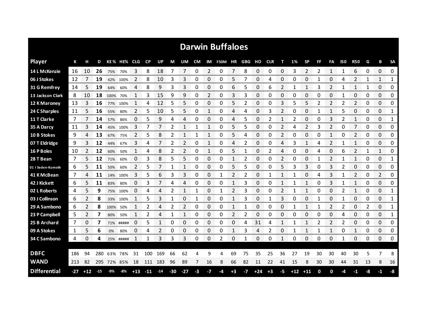|                     |     |       |       |      |             |       |           |       |       |       |      |                 | <b>Darwin Buffaloes</b> |      |    |       |            |                |             |           |    |                |     |                |    |                             |               |
|---------------------|-----|-------|-------|------|-------------|-------|-----------|-------|-------|-------|------|-----------------|-------------------------|------|----|-------|------------|----------------|-------------|-----------|----|----------------|-----|----------------|----|-----------------------------|---------------|
| <b>Player</b>       | К   |       | D     |      | KE% HE% CLG |       | <b>CP</b> | UP    | М     | UM    | CM   |                 | IM F50M HR GBG          |      |    | но    | <b>CLR</b> | т              | 1%          | <b>SP</b> | FF | FA             | 150 | <b>R50</b>     | G  | в                           | <b>SA</b>     |
| 14 L McKenzie       | 16  | 10    | 26    | 75%  | 70%         | 3     | 8         | 18    | 7     | 7     | 0    | 2               | 0                       | 7    | 8  | 0     | 0          | 0              | 3           | 2         | 2  | 1              | 1   | 6              | 0  | 0                           | 0             |
| 06 J Stokes         | 12  |       | 19    | 42%  | 100%        | 2     | 8         | 10    | 3     | 3     | 0    | 0               | 0                       | 5    | 7  | 0     | 4          | 0              | 0           | 0         | 1  | 0              | 4   | 2              | 1  | 1                           | 1             |
| 31 G Remfrey        | 14  | 5     | 19    | 64%  | 60%         | 4     | 8         | 9     | 3     | 3     | 0    | 0               | 0                       | 6    | 5  | 0     | 6          | 2              |             | 1         | 3  | 2              |     | 1              | 1  | $\Omega$                    | 0             |
| 13 Jackson Clark    | 8   | 10    | 18    | 100% | 70%         | 1     | 3         | 15    | 9     | 9     | 0    | 2               | 0                       | 3    | 3  | 0     | 0          | 0              | 0           | 0         | 0  | 0              |     | 0              | 0  | 0                           | 0             |
| 12 K Maroney        | 13  | 3     | 16    | 77%  | 100%        |       | 4         | 12    | 5     | 5     | 0    | 0               | 0                       | 5    | 2  | 0     | 0          | 3              | 5           | 5         | 2  | $\overline{2}$ | 2   | $\overline{2}$ | 0  | 0                           | 0             |
| 24 C Sharples       | 11  | 5     | 16    | 55%  | 80%         | 2     | 5         | 10    | 5     | 5     | 0    | 1               | 0                       | 4    | 4  | 0     | 3          | $\overline{2}$ | 0           | 0         | 1  | $\mathbf{1}$   | 5   | 0              | 0  | 0                           | 1             |
| 11 T Clarke         | 7   |       | 14    | 57%  | 86%         | 0     | 5         | 9     | 4     | 4     | 0    | 0               | 0                       | 4    | 5  | 0     | 2          | 1              | 2           | 0         | 0  | 3              | 2   | 1              | 0  | 0                           | 1             |
| 35 A Darcy          | 11  | 3     | 14    | 45%  | 100%        | 3     |           | 7     | 2     | 1     |      | 1               | 0                       | 5    | 5  | 0     | 0          | 2              | 4           | 2         | 3  | 2              | 0   | 7              | 0  | 0                           | 0             |
| 10 B Stokes         | 9   | 4     | 13    | 67%  | 75%         | 2     | 5         | 8     | 2     | 1     |      | 1               | 0                       | 5    | 4  | 0     | 0          | 2              | 0           | 0         | 0  | $\mathbf{1}$   | 0   | 2              | 0  | 0                           | 0             |
| 07 T Eldridge       | 9   | 3     | 12    | 44%  | 67%         | 3     | 4         | 7     | 2     | 2     | 0    | 1               | 0                       | 4    | 2  | 0     | 0          | 4              | 3           | 1         | 4  | 2              | 1   | 1              | 0  | 0                           | 0             |
| 16 P Boles          | 10  |       | 12    | 60%  | 50%         |       | 4         | 8     | 2     | 2     | 0    | 1               | 0                       | 5    |    | 0     | 2          | 4              | 0           | 0         | 4  | 0              | 6   | $\overline{2}$ |    | $\mathbf{1}$                | 0             |
| 28 T Bean           | 7   | 5     | 12    | 71%  | 60%         | 0     | 3         | 8     | 5     | 5     | 0    | 0               | 0                       | 1    | 2  | 0     | 0          | 2              | 0           | 0         |    | 2              |     | 1              | 0  | 0                           | 1             |
| 01 I Seden-Kurnoth  | 6   | 5     | 11    | 50%  | 60%         | 2     | 5         |       | 1     | 1     | 0    | 0               | 0                       | 5    | 5  | 0     | 0          | 5              | 3           | 3         | 0  | 3              | 2   | 0              | 0  | 0                           | 0             |
| 41 K McBean         | 7   | 4     | 11    | 14%  | 100%        | 3     | 5         | 6     | 3     | 3     | 0    | 0               | 1                       | 2    | 2  | 0     |            |                |             | 0         | 4  | 3              |     | 2              | 0  | 2                           | 0             |
| 42 J Kickett        | 6   | 5     | 11    | 83%  | 80%         | 0     | 3         |       | Δ     | 4     | 0    | 0<br>ana ana an | 0                       |      | 3  | 0     | 0          |                |             |           | 0  | 3              |     |                | 0  | 0<br><b>Service Control</b> | 0<br>www.com  |
| 02 L Roberts        | 4   | 5     | 9     | 75%  | 100%        | O     | 4         |       |       |       |      | 0               |                         | 2    | 3  | 0     | O          |                |             |           | Ω  | 0              |     |                | 0  | 0<br>an an an               | 1<br>ananana. |
| 03 J Collinson      | 6   | 2     | 8     | 33%  | 100%        |       | 5         | 3     |       | 0     | 1    | 0               | 0                       |      | 3  | 0     |            | 3              | 0           | 0         |    | 0              |     | 0              | 0  | 0<br><b>Services</b>        | 1<br>anana an |
| 29 A Sambono        | 6   |       | 8     | 100% | 50%         |       | 2         |       |       |       | 0    | 0               | 0                       |      |    | 0     | Ω          | 0              |             |           |    |                |     | 0              |    | 0                           | 1             |
| 23 P Campbell       | 5   |       |       | 80%  | 50%         |       | 2         | 4     | 1     | 1     | 0    | 0               | 0                       | 2    | 2  | 0     | 0          | 0              | O           | 0         | O  | 0              | 4   | 0              | 0  | 0                           | 1             |
| 25 B Archard        | 7   | 0     | 7     | 71%  | #####       | 0     | 5         | 1     | 0     | 0     | 0    | 0               | 0                       | 0    | 4  | 31    | 4          | 1              |             | 1         | 2  | 2              | 2   | 0              | 0  | 0                           | 0<br>mmmm     |
| 09 A Stokes         | 1   | 5     | 6     | 0%   | 80%         | 0     | 4         | 2     | 0     | 0     | 0    | 0               | 0                       | 1    | 3  | 4     | 2          | 0              | 1           | 1         | 1  | 1              | 0   | 1              | 0  | 0                           | 0             |
| 34 C Sambono        | 4   | 0     | 4     |      | 25% #####   |       | 1         | 3     | 3     | 3     | 0    | 0               | 2                       | 0    | 1  | 0     | 0          | 1              | 0           | 0         | 0  | 0              | -1  | 0              | 0  | 0                           | 0             |
|                     |     |       |       |      |             |       |           |       |       |       |      |                 |                         |      |    |       |            |                |             |           |    |                |     |                |    |                             |               |
| <b>DBFC</b>         | 186 | 94    | 280   | 63%  | 78%         | 31    | 100       | 169   | 66    | 62    | 4    | 9               |                         | 69   | 75 | 35    | 25         | 36             | 27          | 19        | 30 | 30             | 40  | 30             | 5  | 7                           | 8             |
| <b>WAND</b>         | 213 | 82    | 295   |      | 72% 85%     | 18    | 111       | 183   | 96    | 89    | 7    | 16              | 8                       | 66   | 82 | 11    | 22         | 41             | 15          | 8         | 30 | 30             | 44  | 31             | 13 | 8                           | 16            |
| <b>Differential</b> | -27 | $+12$ | $-15$ | -9%  | -8%         | $+13$ | $-11$     | $-14$ | $-30$ | $-27$ | $-3$ | -7              | -4                      | $+3$ | -7 | $+24$ | $+3$       | $-5$           | $+12$ $+11$ |           | 0  | 0              | -4  | -1             | -8 | -1                          | -8            |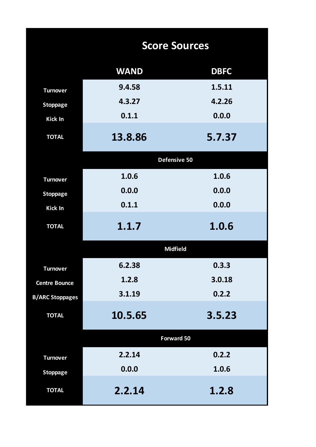|                        | <b>Score Sources</b> |             |
|------------------------|----------------------|-------------|
|                        | <b>WAND</b>          | <b>DBFC</b> |
| <b>Turnover</b>        | 9.4.58               | 1.5.11      |
| <b>Stoppage</b>        | 4.3.27               | 4.2.26      |
| Kick In                | 0.1.1                | 0.0.0       |
| <b>TOTAL</b>           | 13.8.86              | 5.7.37      |
|                        | Defensive 50         |             |
| <b>Turnover</b>        | 1.0.6                | 1.0.6       |
| <b>Stoppage</b>        | 0.0.0                | 0.0.0       |
| Kick In                | 0.1.1                | 0.0.0       |
| <b>TOTAL</b>           | 1.1.7                | 1.0.6       |
|                        | <b>Midfield</b>      |             |
| <b>Turnover</b>        | 6.2.38               | 0.3.3       |
| <b>Centre Bounce</b>   | 1.2.8                | 3.0.18      |
| <b>B/ARC Stoppages</b> | 3.1.19               | 0.2.2       |
| <b>TOTAL</b>           | 10.5.65              | 3.5.23      |
|                        | Forward 50           |             |
| <b>Turnover</b>        | 2.2.14               | 0.2.2       |
| <b>Stoppage</b>        | 0.0.0                | 1.0.6       |
| <b>TOTAL</b>           | 2.2.14               | 1.2.8       |